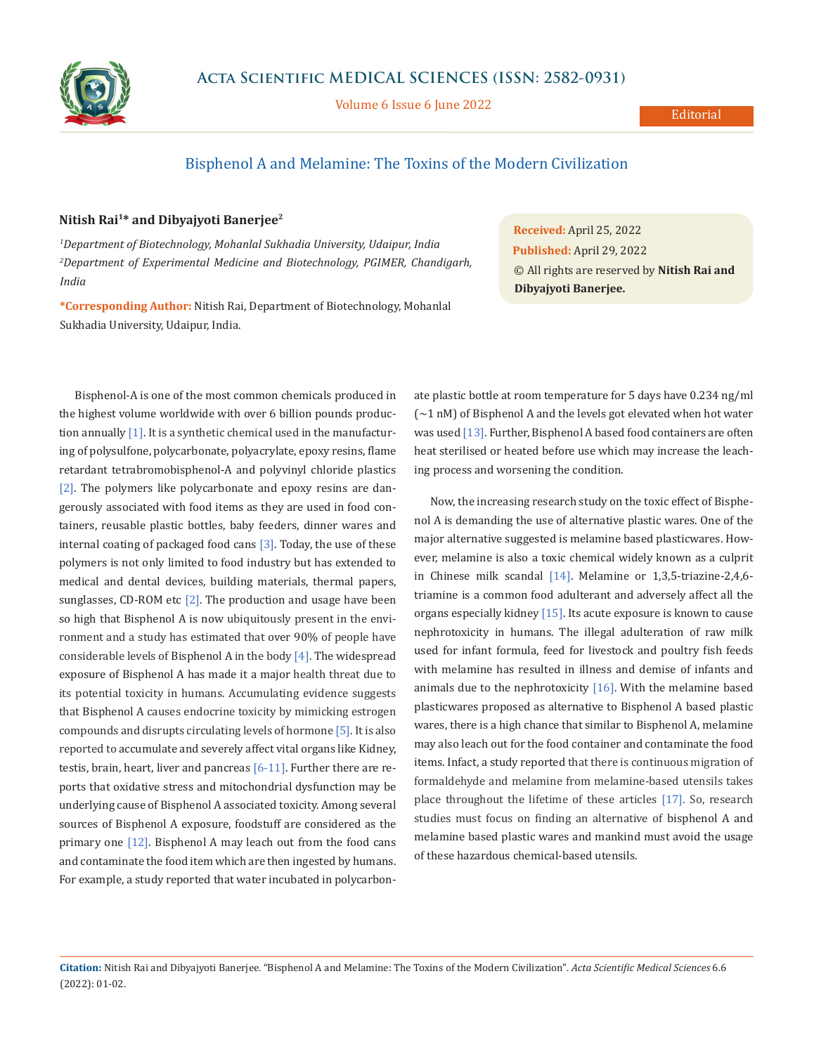

Volume 6 Issue 6 June 2022

## Bisphenol A and Melamine: The Toxins of the Modern Civilization

## **Nitish Rai1\* and Dibyajyoti Banerjee2**

*1 Department of Biotechnology, Mohanlal Sukhadia University, Udaipur, India 2 Department of Experimental Medicine and Biotechnology, PGIMER, Chandigarh, India*

**\*Corresponding Author:** Nitish Rai, Department of Biotechnology, Mohanlal Sukhadia University, Udaipur, India.

**Received:** April 25, 2022 **Published:** April 29, 2022 © All rights are reserved by **Nitish Rai and Dibyajyoti Banerjee.**

Bisphenol-A is one of the most common chemicals produced in the highest volume worldwide with over 6 billion pounds production annually [1]. It is a synthetic chemical used in the manufacturing of polysulfone, polycarbonate, polyacrylate, epoxy resins, flame retardant tetrabromobisphenol-A and polyvinyl chloride plastics [2]. The polymers like polycarbonate and epoxy resins are dangerously associated with food items as they are used in food containers, reusable plastic bottles, baby feeders, dinner wares and internal coating of packaged food cans [3]. Today, the use of these polymers is not only limited to food industry but has extended to medical and dental devices, building materials, thermal papers, sunglasses, CD-ROM etc  $[2]$ . The production and usage have been so high that Bisphenol A is now ubiquitously present in the environment and a study has estimated that over 90% of people have considerable levels of Bisphenol A in the body [4]. The widespread exposure of Bisphenol A has made it a major health threat due to its potential toxicity in humans. Accumulating evidence suggests that Bisphenol A causes [endocrine toxicity by mimicking estrogen](https://www.sciencedirect.com/topics/earth-and-planetary-sciences/endocrine-disruptor)  [compounds and disrupts](https://www.sciencedirect.com/topics/earth-and-planetary-sciences/endocrine-disruptor) circulating levels of hormone [5]. It is also reported to accumulate and severely affect vital organs like Kidney, testis, brain, heart, liver and pancreas  $[6-11]$ . Further there are reports that oxidative stress and mitochondrial dysfunction may be underlying cause of Bisphenol A associated toxicity. Among several sources of Bisphenol A exposure, foodstuff are considered as the primary one [12]. Bisphenol A may leach out from the food cans and contaminate the food item which are then ingested by humans. For example, a study reported that water incubated in polycarbonate plastic bottle at room temperature for 5 days have 0.234 ng/ml (∼1 nM) of Bisphenol A and the levels got elevated when hot water was used [13]. Further, Bisphenol A based food containers are often heat sterilised or heated before use which may increase the leaching process and worsening the condition.

Now, the increasing research study on the toxic effect of Bisphenol A is demanding the use of alternative plastic wares. One of the major alternative suggested is melamine based plasticwares. However, melamine is also a toxic chemical widely known as a culprit in Chinese milk scandal [14]. Melamine or 1,3,5-triazine-2,4,6 triamine is a common food adulterant and adversely affect all the organs especially kidney [15]. Its acute exposure is known to cause nephrotoxicity in humans. The illegal adulteration of raw milk used for infant formula, feed for livestock and poultry fish feeds with melamine has resulted in illness and demise of infants and animals due to the nephrotoxicity  $[16]$ . With the melamine based plasticwares proposed as alternative to Bisphenol A based plastic wares, there is a high chance that similar to Bisphenol A, melamine may also leach out for the food container and contaminate the food items. Infact, a study reported that there is continuous migration of formaldehyde and melamine from melamine-based utensils takes place throughout the lifetime of these articles [17]. So, research studies must focus on finding an alternative of bisphenol A and melamine based plastic wares and mankind must avoid the usage of these hazardous chemical-based utensils.

**Citation:** Nitish Rai and Dibyajyoti Banerjee*.* "Bisphenol A and Melamine: The Toxins of the Modern Civilization". *Acta Scientific Medical Sciences* 6.6 (2022): 01-02.